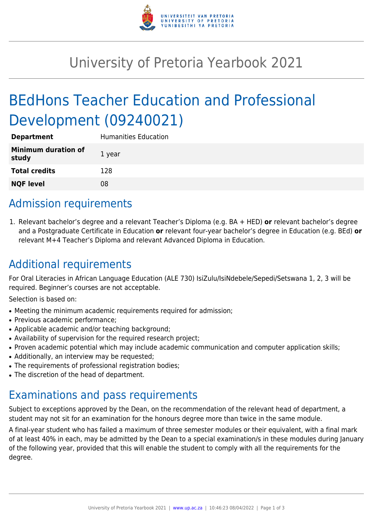

# University of Pretoria Yearbook 2021

# BEdHons Teacher Education and Professional Development (09240021)

| <b>Department</b>                   | <b>Humanities Education</b> |
|-------------------------------------|-----------------------------|
| <b>Minimum duration of</b><br>study | 1 year                      |
| <b>Total credits</b>                | 128                         |
| <b>NQF level</b>                    | 08                          |

## Admission requirements

1. Relevant bachelor's degree and a relevant Teacher's Diploma (e.g. BA + HED) **or** relevant bachelor's degree and a Postgraduate Certificate in Education **or** relevant four-year bachelor's degree in Education (e.g. BEd) **or** relevant M+4 Teacher's Diploma and relevant Advanced Diploma in Education.

# Additional requirements

For Oral Literacies in African Language Education (ALE 730) IsiZulu/IsiNdebele/Sepedi/Setswana 1, 2, 3 will be required. Beginner's courses are not acceptable.

Selection is based on:

- Meeting the minimum academic requirements required for admission;
- Previous academic performance:
- Applicable academic and/or teaching background;
- Availability of supervision for the required research project;
- Proven academic potential which may include academic communication and computer application skills;
- Additionally, an interview may be requested;
- The requirements of professional registration bodies;
- The discretion of the head of department.

### Examinations and pass requirements

Subject to exceptions approved by the Dean, on the recommendation of the relevant head of department, a student may not sit for an examination for the honours degree more than twice in the same module.

A final-year student who has failed a maximum of three semester modules or their equivalent, with a final mark of at least 40% in each, may be admitted by the Dean to a special examination/s in these modules during January of the following year, provided that this will enable the student to comply with all the requirements for the degree.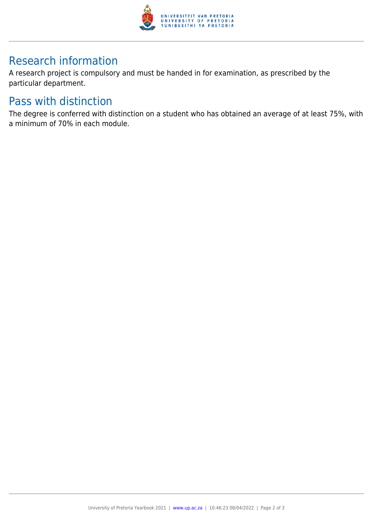

## Research information

A research project is compulsory and must be handed in for examination, as prescribed by the particular department.

#### Pass with distinction

The degree is conferred with distinction on a student who has obtained an average of at least 75%, with a minimum of 70% in each module.